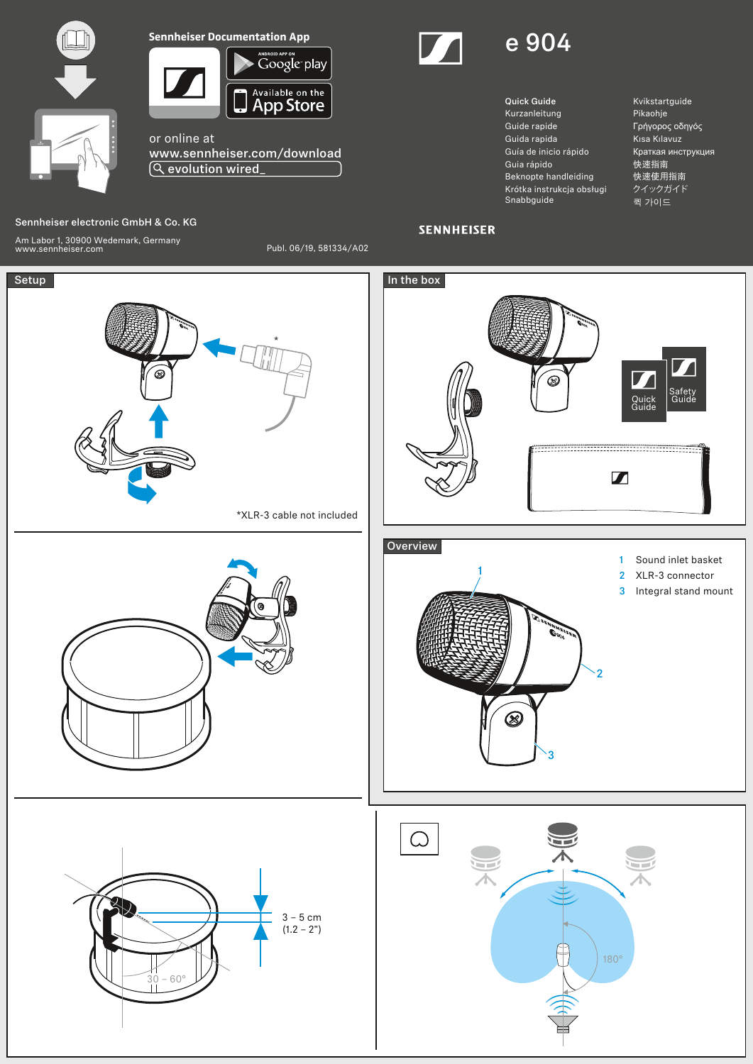



or online at www.sennheiser.com/download evolution wired\_

## Sennheiser electronic GmbH & Co. KG

Am Labor 1, 30900 Wedemark, Germany www.sennheiser.com Publ. 06/19, 581334/A02





Quick Guide Kurzanleitung Guide rapide Guida rapida Guía de inicio rápido Guia rápido Beknopte handleiding Krótka instrukcja obsługi Snabbguide

Kvikstartguide Pikaohje Γρήγορος οδηγός Kısa Kılavuz Краткая инструкция 快速指南 快速使用指南 クイックガイド 퀵 가이드

## **SENNHEISER**